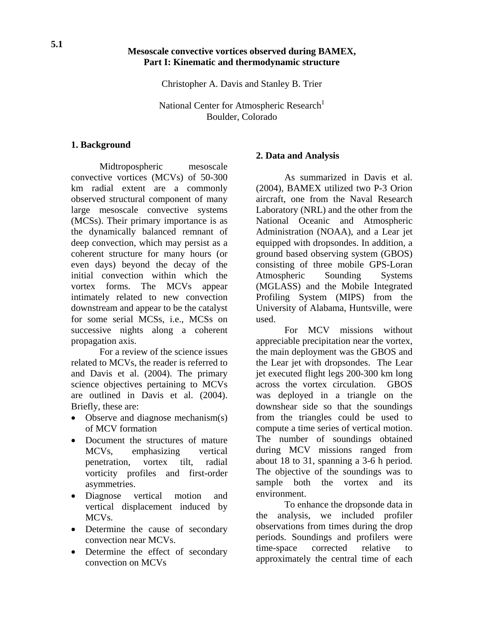### **Mesoscale convective vortices observed during BAMEX, Part I: Kinematic and thermodynamic structure**

Christopher A. Davis and Stanley B. Trier

National Center for Atmospheric Research<sup>1</sup> Boulder, Colorado

#### **1. Background**

Midtropospheric mesoscale convective vortices (MCVs) of 50-300 km radial extent are a commonly observed structural component of many large mesoscale convective systems (MCSs). Their primary importance is as the dynamically balanced remnant of deep convection, which may persist as a coherent structure for many hours (or even days) beyond the decay of the initial convection within which the vortex forms. The MCVs appear intimately related to new convection downstream and appear to be the catalyst for some serial MCSs, i.e., MCSs on successive nights along a coherent propagation axis.

For a review of the science issues related to MCVs, the reader is referred to and Davis et al. (2004). The primary science objectives pertaining to MCVs are outlined in Davis et al. (2004). Briefly, these are:

- Observe and diagnose mechanism(s) of MCV formation
- Document the structures of mature MCVs, emphasizing vertical penetration, vortex tilt, radial vorticity profiles and first-order asymmetries.
- Diagnose vertical motion and vertical displacement induced by MCVs.
- Determine the cause of secondary convection near MCVs.
- Determine the effect of secondary convection on MCVs

#### **2. Data and Analysis**

As summarized in Davis et al. (2004), BAMEX utilized two P-3 Orion aircraft, one from the Naval Research Laboratory (NRL) and the other from the National Oceanic and Atmospheric Administration (NOAA), and a Lear jet equipped with dropsondes. In addition, a ground based observing system (GBOS) consisting of three mobile GPS-Loran Atmospheric Sounding Systems (MGLASS) and the Mobile Integrated Profiling System (MIPS) from the University of Alabama, Huntsville, were used.

For MCV missions without appreciable precipitation near the vortex, the main deployment was the GBOS and the Lear jet with dropsondes. The Lear jet executed flight legs 200-300 km long across the vortex circulation. GBOS was deployed in a triangle on the downshear side so that the soundings from the triangles could be used to compute a time series of vertical motion. The number of soundings obtained during MCV missions ranged from about 18 to 31, spanning a 3-6 h period. The objective of the soundings was to sample both the vortex and its environment.

To enhance the dropsonde data in the analysis, we included profiler observations from times during the drop periods. Soundings and profilers were time-space corrected relative to approximately the central time of each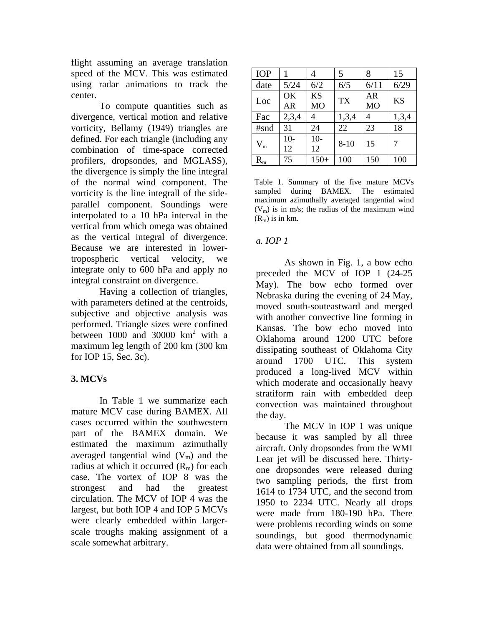flight assuming an average translation speed of the MCV. This was estimated using radar animations to track the center.

To compute quantities such as divergence, vertical motion and relative vorticity, Bellamy (1949) triangles are defined. For each triangle (including any combination of time-space corrected profilers, dropsondes, and MGLASS), the divergence is simply the line integral of the normal wind component. The vorticity is the line integrall of the sideparallel component. Soundings were interpolated to a 10 hPa interval in the vertical from which omega was obtained as the vertical integral of divergence. Because we are interested in lowertropospheric vertical velocity, we integrate only to 600 hPa and apply no integral constraint on divergence.

Having a collection of triangles, with parameters defined at the centroids, subjective and objective analysis was performed. Triangle sizes were confined between  $1000$  and  $30000$  km<sup>2</sup> with a maximum leg length of 200 km (300 km for IOP 15, Sec. 3c).

# **3. MCVs**

In Table 1 we summarize each mature MCV case during BAMEX. All cases occurred within the southwestern part of the BAMEX domain. We estimated the maximum azimuthally averaged tangential wind  $(V_m)$  and the radius at which it occurred  $(R_m)$  for each case. The vortex of IOP 8 was the strongest and had the greatest circulation. The MCV of IOP 4 was the largest, but both IOP 4 and IOP 5 MCVs were clearly embedded within largerscale troughs making assignment of a scale somewhat arbitrary.

| <b>IOP</b>  |                 |                             | 5         | 8                           | 15        |
|-------------|-----------------|-----------------------------|-----------|-----------------------------|-----------|
| date        | 5/24            | 6/2                         | 6/5       | 6/11                        | 6/29      |
| Loc         | OK<br><b>AR</b> | <b>KS</b><br>M <sub>O</sub> | <b>TX</b> | <b>AR</b><br>M <sub>O</sub> | <b>KS</b> |
| Fac         | 2,3,4           | 4                           | 1,3,4     | 4                           | 1,3,4     |
| #snd        | 31              | 24                          | 22        | 23                          | 18        |
| $\rm V_{m}$ | $10-$<br>12     | $10-$<br>12                 | $8 - 10$  | 15                          |           |
| $\rm R_m$   | 75              | $150+$                      | 100       | 150                         | 100       |

Table 1. Summary of the five mature MCVs sampled during BAMEX. The estimated maximum azimuthally averaged tangential wind  $(V<sub>m</sub>)$  is in m/s; the radius of the maximum wind  $(R<sub>m</sub>)$  is in km.

## *a. IOP 1*

As shown in Fig. 1, a bow echo preceded the MCV of IOP 1 (24-25 May). The bow echo formed over Nebraska during the evening of 24 May, moved south-souteastward and merged with another convective line forming in Kansas. The bow echo moved into Oklahoma around 1200 UTC before dissipating southeast of Oklahoma City around 1700 UTC. This system produced a long-lived MCV within which moderate and occasionally heavy stratiform rain with embedded deep convection was maintained throughout the day.

The MCV in IOP 1 was unique because it was sampled by all three aircraft. Only dropsondes from the WMI Lear jet will be discussed here. Thirtyone dropsondes were released during two sampling periods, the first from 1614 to 1734 UTC, and the second from 1950 to 2234 UTC. Nearly all drops were made from 180-190 hPa. There were problems recording winds on some soundings, but good thermodynamic data were obtained from all soundings.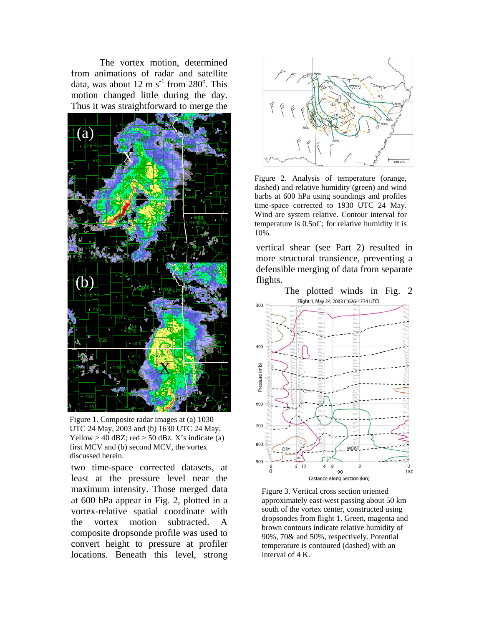The vortex motion, determined from animations of radar and satellite data, was about  $12 \text{ m s}^{-1}$  from  $280^\circ$ . This motion changed little during the day. Thus it was straightforward to merge the



Figure 1. Composite radar images at (a) 1030 UTC 24 May, 2003 and (b) 1630 UTC 24 May. Yellow  $> 40$  dBZ; red  $> 50$  dBz. X's indicate (a) first MCV and (b) second MCV, the vortex discussed herein.

two time-space corrected datasets, at least at the pressure level near the maximum intensity. Those merged data at 600 hPa appear in Fig. 2, plotted in a vortex-relative spatial coordinate with the vortex motion subtracted. A composite dropsonde profile was used to convert height to pressure at profiler locations. Beneath this level, strong



Figure 2. Analysis of temperature (orange, dashed) and relative humidity (green) and wind barbs at 600 hPa using soundings and profiles time-space corrected to 1930 UTC 24 May. Wind are system relative. Contour interval for temperature is 0.5oC; for relative humidity it is 10%.

vertical shear (see Part 2) resulted in more structural transience, preventing a defensible merging of data from separate flights.



Figure 3. Vertical cross section oriented approximately east-west passing about 50 km south of the vortex center, constructed using dropsondes from flight 1. Green, magenta and brown contours indicate relative humidity of 90%, 70& and 50%, respectively. Potential temperature is contoured (dashed) with an interval of 4 K.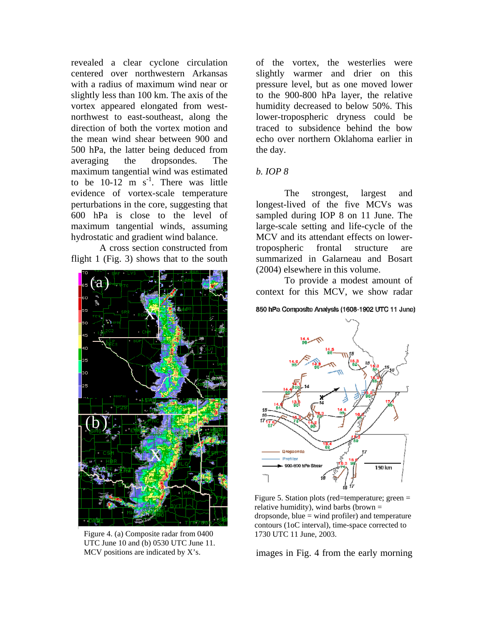revealed a clear cyclone circulation centered over northwestern Arkansas with a radius of maximum wind near or slightly less than 100 km. The axis of the vortex appeared elongated from westnorthwest to east-southeast, along the direction of both the vortex motion and the mean wind shear between 900 and 500 hPa, the latter being deduced from averaging the dropsondes. The maximum tangential wind was estimated to be  $10-12$  m s<sup>-1</sup>. There was little evidence of vortex-scale temperature perturbations in the core, suggesting that 600 hPa is close to the level of maximum tangential winds, assuming hydrostatic and gradient wind balance.

A cross section constructed from flight 1 (Fig. 3) shows that to the south



Figure 4. (a) Composite radar from 0400 1730 UTC 11 June, 2003. UTC June 10 and (b) 0530 UTC June 11. MCV positions are indicated by X's.

of the vortex, the westerlies were slightly warmer and drier on this pressure level, but as one moved lower to the 900-800 hPa layer, the relative humidity decreased to below 50%. This lower-tropospheric dryness could be traced to subsidence behind the bow echo over northern Oklahoma earlier in the day.

## *b. IOP 8*

The strongest, largest and longest-lived of the five MCVs was sampled during IOP 8 on 11 June. The large-scale setting and life-cycle of the MCV and its attendant effects on lowertropospheric frontal structure are summarized in Galarneau and Bosart (2004) elsewhere in this volume.

To provide a modest amount of context for this MCV, we show radar

#### 850 hPa Composite Analysis (1608-1902 UTC 11 June)



Figure 5. Station plots (red=temperature; green = relative humidity), wind barbs (brown =  $d$ ropsonde, blue  $=$  wind profiler) and temperature contours (1oC interval), time-space corrected to

images in Fig. 4 from the early morning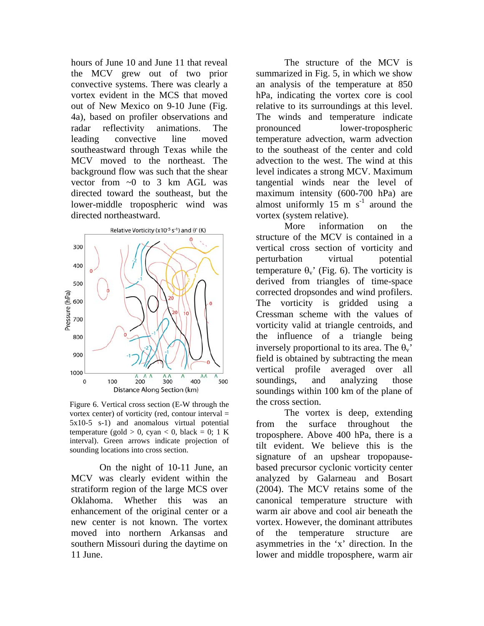hours of June 10 and June 11 that reveal the MCV grew out of two prior convective systems. There was clearly a vortex evident in the MCS that moved out of New Mexico on 9-10 June (Fig. 4a), based on profiler observations and radar reflectivity animations. The leading convective line moved southeastward through Texas while the MCV moved to the northeast. The background flow was such that the shear vector from  $\sim 0$  to 3 km AGL was directed toward the southeast, but the lower-middle tropospheric wind was directed northeastward.



Figure 6. Vertical cross section (E-W through the the cross section. vortex center) of vorticity (red, contour interval  $=$ 5x10-5 s-1) and anomalous virtual potential temperature (gold  $> 0$ , cyan  $< 0$ , black = 0; 1 K interval). Green arrows indicate projection of sounding locations into cross section.

On the night of 10-11 June, an MCV was clearly evident within the stratiform region of the large MCS over Oklahoma. Whether this was an enhancement of the original center or a new center is not known. The vortex moved into northern Arkansas and southern Missouri during the daytime on 11 June.

The structure of the MCV is summarized in Fig. 5, in which we show an analysis of the temperature at 850 hPa, indicating the vortex core is cool relative to its surroundings at this level. The winds and temperature indicate pronounced lower-tropospheric temperature advection, warm advection to the southeast of the center and cold advection to the west. The wind at this level indicates a strong MCV. Maximum tangential winds near the level of maximum intensity (600-700 hPa) are almost uniformly 15 m  $s^{-1}$  around the vortex (system relative).

More information on the structure of the MCV is contained in a vertical cross section of vorticity and perturbation virtual potential temperature  $\theta_v$ ' (Fig. 6). The vorticity is derived from triangles of time-space corrected dropsondes and wind profilers. The vorticity is gridded using a Cressman scheme with the values of vorticity valid at triangle centroids, and the influence of a triangle being inversely proportional to its area. The  $\theta_{v}$ field is obtained by subtracting the mean vertical profile averaged over all soundings, and analyzing those soundings within 100 km of the plane of

The vortex is deep, extending from the surface throughout the troposphere. Above 400 hPa, there is a tilt evident. We believe this is the signature of an upshear tropopausebased precursor cyclonic vorticity center analyzed by Galarneau and Bosart (2004). The MCV retains some of the canonical temperature structure with warm air above and cool air beneath the vortex. However, the dominant attributes of the temperature structure are asymmetries in the 'x' direction. In the lower and middle troposphere, warm air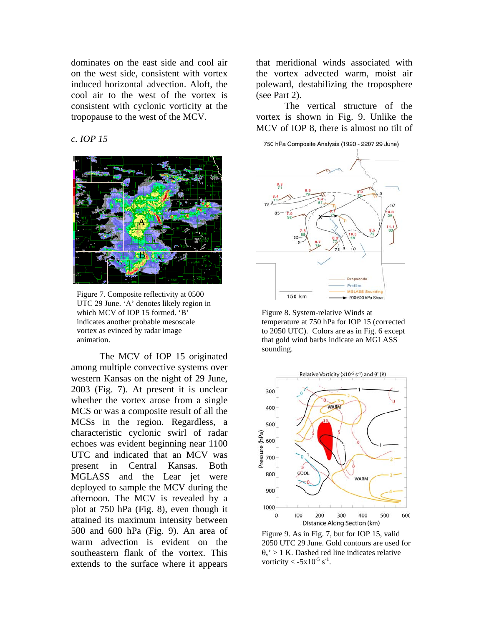dominates on the east side and cool air on the west side, consistent with vortex induced horizontal advection. Aloft, the cool air to the west of the vortex is consistent with cyclonic vorticity at the tropopause to the west of the MCV.

## *c. IOP 15*



Figure 7. Composite reflectivity at 0500 UTC 29 June. 'A' denotes likely region in which MCV of IOP 15 formed. 'B' indicates another probable mesoscale vortex as evinced by radar image animation.

The MCV of IOP 15 originated among multiple convective systems over western Kansas on the night of 29 June, 2003 (Fig. 7). At present it is unclear whether the vortex arose from a single MCS or was a composite result of all the MCSs in the region. Regardless, a characteristic cyclonic swirl of radar echoes was evident beginning near 1100 UTC and indicated that an MCV was present in Central Kansas. Both MGLASS and the Lear jet were deployed to sample the MCV during the afternoon. The MCV is revealed by a plot at 750 hPa (Fig. 8), even though it attained its maximum intensity between 500 and 600 hPa (Fig. 9). An area of warm advection is evident on the southeastern flank of the vortex. This extends to the surface where it appears

that meridional winds associated with the vortex advected warm, moist air poleward, destabilizing the troposphere (see Part 2).

The vertical structure of the vortex is shown in Fig. 9. Unlike the MCV of IOP 8, there is almost no tilt of

750 hPa Composite Analysis (1920 - 2207 29 June)



Figure 8. System-relative Winds at temperature at 750 hPa for IOP 15 (corrected to 2050 UTC). Colors are as in Fig. 6 except that gold wind barbs indicate an MGLASS sounding.



Figure 9. As in Fig. 7, but for IOP 15, valid 2050 UTC 29 June. Gold contours are used for  $\theta_v$ ' > 1 K. Dashed red line indicates relative vorticity  $\langle -5x10^{-5} \text{ s}^{-1} \rangle$ .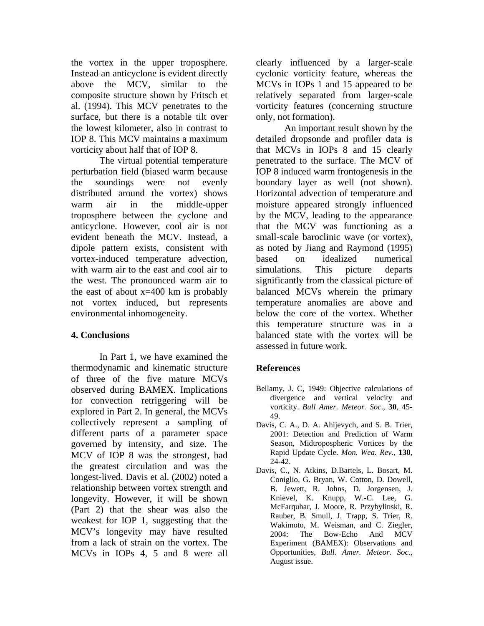the vortex in the upper troposphere. Instead an anticyclone is evident directly above the MCV, similar to the composite structure shown by Fritsch et al. (1994). This MCV penetrates to the surface, but there is a notable tilt over the lowest kilometer, also in contrast to IOP 8. This MCV maintains a maximum vorticity about half that of IOP 8.

The virtual potential temperature perturb ation field (biased warm because the soundings were not evenly distributed around the vortex) shows warm air in the middle-upper troposphere between the cyclone and anticyclone. However, cool air is not evident beneath the MCV. Instead, a dipole pattern exists, consistent with vortex-induced temperature advection, with warm air to the east and cool air to the west. The pronounced warm air to the east of about  $x=400$  km is probably not vortex induced, but represents environmental inhomogeneity.

## **4. Conclusions**

In Part 1, we have examined the thermo dynamic and kinematic structure of three of the five mature MCVs observed during BAMEX. Implications for convection retriggering will be explored in Part 2. In general, the MCVs collectively represent a sampling of different parts of a parameter space governed by intensity, and size. The MCV of IOP 8 was the strongest, had the greatest circulation and was the longest-lived. Davis et al. (2002) noted a relationship between vortex strength and longevity. However, it will be shown (Part 2) that the shear was also the weakest for IOP 1, suggesting that the MCV's longevity may have resulted from a lack of strain on the vortex. The MCVs in IOPs 4, 5 and 8 were all

clearly influenced by a larger-scale cyclonic vorticity feature, whereas the MCVs in IOPs 1 and 15 appeared to be relatively separated from larger-scale vorticity features (concerning structure only, not formation).

An important result shown by the detailed dropsonde and profiler data is that MCVs in IOPs 8 and 15 clearly penetrated to the surface. The MCV of IOP 8 induced warm frontogenesis in the boundary layer as well (not shown). Horizontal advection of temperature and moisture appeared strongly influenced by the MCV, leading to the appearance that the MCV was functioning as a small-scale baroclinic wave (or vortex), as noted by Jiang and Raymond (1995) based on idealized numerical simulations. This picture departs significantly from the classical picture of balanced MCVs wherein the primary temperature anomalies are above and below the core of the vortex. Whether this temperature structure was in a balanced state with the vortex will be assessed in future work.

## **References**

- Bellamy, J. C, 1949: Objective calculations of divergence and vertical velocity and vorticity. *Bull Amer. Meteor. Soc*., **30**, 45- 49.
- Davis, C. A., D. A. Ahijevy ch, and S. B. Trier, 2001: Detection and Prediction of Warm Season, Midtropospheric Vortices by the Rapid Update Cycle. *Mon. Wea. Rev.*, **130**, 24-42.
- Davis, C., N. Atkins, D.Bartels, L. Bosart, M. August issue. Coniglio, G. Bryan, W. Cotton, D. Dowell, B. Jewett, R. Johns, D. Jorgensen, J. Knievel, K. Knupp, W.-C. Lee, G. McFarquhar, J. Moore, R. Przybylinski, R. Rauber, B. Smull, J. Trapp, S. Trier, R. Wakimoto, M. Weisman, and C. Ziegler, 2004: The Bow-Echo And MCV Experiment (BAMEX): Observations and Opportunities, *Bull. Amer. Meteor. Soc.*,